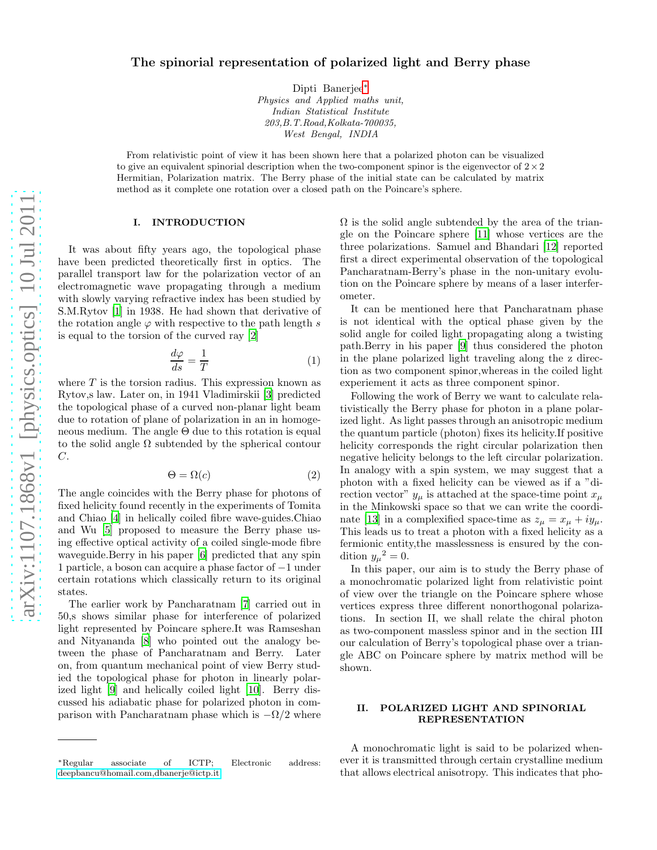# The spinorial representation of polarized light and Berry phase

Dipti Banerjee[∗](#page-0-0) *Physics and Applied maths unit, Indian Statistical Institute 203,B.T.Road,Kolkata-700035, West Bengal, INDIA*

From relativistic point of view it has been shown here that a polarized photon can be visualized to give an equivalent spinorial description when the two-component spinor is the eigenvector of  $2\times 2$ Hermitian, Polarization matrix. The Berry phase of the initial state can be calculated by matrix method as it complete one rotation over a closed path on the Poincare's sphere.

## I. INTRODUCTION

It was about fifty years ago, the topological phase have been predicted theoretically first in optics. The parallel transport law for the polarization vector of an electromagnetic wave propagating through a medium with slowly varying refractive index has been studied by S.M.Rytov [\[1\]](#page-5-0) in 1938. He had shown that derivative of the rotation angle  $\varphi$  with respective to the path length s is equal to the torsion of the curved ray [\[2\]](#page-5-1)

$$
\frac{d\varphi}{ds} = \frac{1}{T} \tag{1}
$$

where  $T$  is the torsion radius. This expression known as Rytov,s law. Later on, in 1941 Vladimirskii [\[3\]](#page-5-2) predicted the topological phase of a curved non-planar light beam due to rotation of plane of polarization in an in homogeneous medium. The angle  $\Theta$  due to this rotation is equal to the solid angle  $\Omega$  subtended by the spherical contour  $C$ .

$$
\Theta = \Omega(c) \tag{2}
$$

The angle coincides with the Berry phase for photons of fixed helicity found recently in the experiments of Tomita and Chiao [\[4](#page-5-3)] in helically coiled fibre wave-guides.Chiao and Wu [\[5\]](#page-5-4) proposed to measure the Berry phase using effective optical activity of a coiled single-mode fibre waveguide.Berry in his paper [\[6\]](#page-5-5) predicted that any spin 1 particle, a boson can acquire a phase factor of −1 under certain rotations which classically return to its original states.

The earlier work by Pancharatnam [\[7](#page-5-6)] carried out in 50,s shows similar phase for interference of polarized light represented by Poincare sphere.It was Ramseshan and Nityananda [\[8\]](#page-5-7) who pointed out the analogy between the phase of Pancharatnam and Berry. Later on, from quantum mechanical point of view Berry studied the topological phase for photon in linearly polarized light [\[9](#page-5-8)] and helically coiled light [\[10](#page-5-9)]. Berry discussed his adiabatic phase for polarized photon in comparison with Pancharatnam phase which is  $-\Omega/2$  where  $\Omega$  is the solid angle subtended by the area of the triangle on the Poincare sphere [\[11\]](#page-5-10) whose vertices are the three polarizations. Samuel and Bhandari [\[12\]](#page-5-11) reported first a direct experimental observation of the topological Pancharatnam-Berry's phase in the non-unitary evolution on the Poincare sphere by means of a laser interferometer.

It can be mentioned here that Pancharatnam phase is not identical with the optical phase given by the solid angle for coiled light propagating along a twisting path.Berry in his paper [\[9](#page-5-8)] thus considered the photon in the plane polarized light traveling along the z direction as two component spinor,whereas in the coiled light experiement it acts as three component spinor.

Following the work of Berry we want to calculate relativistically the Berry phase for photon in a plane polarized light. As light passes through an anisotropic medium the quantum particle (photon) fixes its helicity.If positive helicity corresponds the right circular polarization then negative helicity belongs to the left circular polarization. In analogy with a spin system, we may suggest that a photon with a fixed helicity can be viewed as if a "direction vector"  $y_{\mu}$  is attached at the space-time point  $x_{\mu}$ in the Minkowski space so that we can write the coordi-nate [\[13](#page-5-12)] in a complexified space-time as  $z_{\mu} = x_{\mu} + iy_{\mu}$ . This leads us to treat a photon with a fixed helicity as a fermionic entity,the masslessness is ensured by the condition  $y_{\mu}^2 = 0$ .

In this paper, our aim is to study the Berry phase of a monochromatic polarized light from relativistic point of view over the triangle on the Poincare sphere whose vertices express three different nonorthogonal polarizations. In section II, we shall relate the chiral photon as two-component massless spinor and in the section III our calculation of Berry's topological phase over a triangle ABC on Poincare sphere by matrix method will be shown.

## II. POLARIZED LIGHT AND SPINORIAL REPRESENTATION

A monochromatic light is said to be polarized whenever it is transmitted through certain crystalline medium that allows electrical anisotropy. This indicates that pho-

<span id="page-0-0"></span><sup>∗</sup>Regular associate of ICTP; Electronic address: [deepbancu@homail.com,dbanerje@ictp.it](mailto:deepbancu@homail.com,dbanerje@ictp.it)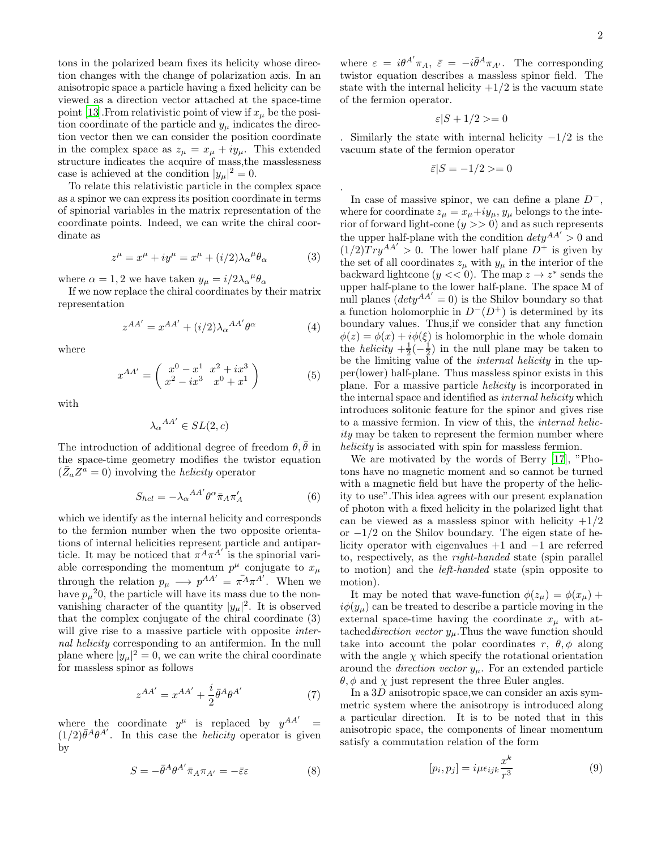tons in the polarized beam fixes its helicity whose direction changes with the change of polarization axis. In an anisotropic space a particle having a fixed helicity can be viewed as a direction vector attached at the space-time point [\[13\]](#page-5-12). From relativistic point of view if  $x_{\mu}$  be the position coordinate of the particle and  $y_{\mu}$  indicates the direction vector then we can consider the position coordinate in the complex space as  $z_{\mu} = x_{\mu} + iy_{\mu}$ . This extended structure indicates the acquire of mass,the masslessness case is achieved at the condition  $|y_\mu|^2 = 0$ .

To relate this relativistic particle in the complex space as a spinor we can express its position coordinate in terms of spinorial variables in the matrix representation of the coordinate points. Indeed, we can write the chiral coordinate as

$$
z^{\mu} = x^{\mu} + iy^{\mu} = x^{\mu} + (i/2)\lambda_{\alpha}{}^{\mu}\theta_{\alpha}
$$
 (3)

where  $\alpha = 1, 2$  we have taken  $y_{\mu} = i/2\lambda_{\alpha}^{\ \mu}\theta_{\alpha}$ 

If we now replace the chiral coordinates by their matrix representation

$$
z^{AA'} = x^{AA'} + (i/2)\lambda_{\alpha}{}^{AA'}\theta^{\alpha}
$$
 (4)

where

$$
x^{AA'} = \begin{pmatrix} x^0 - x^1 & x^2 + ix^3 \\ x^2 - ix^3 & x^0 + x^1 \end{pmatrix}
$$
 (5)

with

$$
{\lambda_\alpha}^{AA'}\in SL(2,c)
$$

The introduction of additional degree of freedom  $\theta, \bar{\theta}$  in the space-time geometry modifies the twistor equation  $(\bar{Z}_a Z^a = 0)$  involving the *helicity* operator

$$
S_{hel} = -\lambda_{\alpha}{}^{AA'} \theta^{\alpha} \bar{\pi}_A \pi'_A \tag{6}
$$

which we identify as the internal helicity and corresponds to the fermion number when the two opposite orientations of internal helicities represent particle and antiparticle. It may be noticed that  $\pi^A \pi^{A'}$  is the spinorial variable corresponding the momentum  $p^{\mu}$  conjugate to  $x_{\mu}$ through the relation  $p_{\mu} \longrightarrow p^{AA'} = \pi^A \pi^{A'}$ . When we have  $p_\mu^2 0$ , the particle will have its mass due to the nonvanishing character of the quantity  $|y_\mu|^2$ . It is observed that the complex conjugate of the chiral coordinate (3) will give rise to a massive particle with opposite *inter*nal helicity corresponding to an antifermion. In the null plane where  $|y_\mu|^2 = 0$ , we can write the chiral coordinate for massless spinor as follows

$$
z^{AA'} = x^{AA'} + \frac{i}{2}\bar{\theta}^A\theta^{A'} \tag{7}
$$

where the coordinate  $y^{\mu}$  is replaced by  $y^{AA'}$  =  $(1/2)\bar{\theta}^{A}\theta^{A'}$ . In this case the *helicity* operator is given by

$$
S = -\bar{\theta}^A \theta^{A'} \bar{\pi}_A \pi_{A'} = -\bar{\varepsilon}\varepsilon \tag{8}
$$

where  $\varepsilon = i\theta^{A'}\pi_A$ ,  $\bar{\varepsilon} = -i\bar{\theta}^A\pi_{A'}$ . The corresponding twistor equation describes a massless spinor field. The state with the internal helicity  $+1/2$  is the vacuum state of the fermion operator.

$$
\varepsilon|S+1/2\rangle=0
$$

. Similarly the state with internal helicity  $-1/2$  is the vacuum state of the fermion operator

$$
\bar{\varepsilon}|S=-1/2>=0
$$

.

In case of massive spinor, we can define a plane  $D^{-}$ , where for coordinate  $z_{\mu} = x_{\mu} + iy_{\mu}$ ,  $y_{\mu}$  belongs to the interior of forward light-cone  $(y \gt 0)$  and as such represents the upper half-plane with the condition  $dety^{AA'} > 0$  and  $(1/2) Tr y^{AA'} > 0$ . The lower half plane  $D^+$  is given by the set of all coordinates  $z_{\mu}$  with  $y_{\mu}$  in the interior of the backward lightcone  $(y \lt 0)$ . The map  $z \to z^*$  sends the upper half-plane to the lower half-plane. The space M of null planes  $(dety^{AA'} = 0)$  is the Shilov boundary so that a function holomorphic in  $D^{-}(D^{+})$  is determined by its boundary values. Thus,if we consider that any function  $\phi(z) = \phi(x) + i\phi(\xi)$  is holomorphic in the whole domain the *helicity*  $+\frac{1}{2}(-\frac{1}{2})$  in the null plane may be taken to be the limiting value of the internal helicity in the upper(lower) half-plane. Thus massless spinor exists in this plane. For a massive particle helicity is incorporated in the internal space and identified as internal helicity which introduces solitonic feature for the spinor and gives rise to a massive fermion. In view of this, the internal helicity may be taken to represent the fermion number where helicity is associated with spin for massless fermion.

We are motivated by the words of Berry [\[17\]](#page-5-13), "Photons have no magnetic moment and so cannot be turned with a magnetic field but have the property of the helicity to use".This idea agrees with our present explanation of photon with a fixed helicity in the polarized light that can be viewed as a massless spinor with helicity  $+1/2$ or  $-1/2$  on the Shilov boundary. The eigen state of helicity operator with eigenvalues +1 and −1 are referred to, respectively, as the right-handed state (spin parallel to motion) and the left-handed state (spin opposite to motion).

It may be noted that wave-function  $\phi(z_\mu) = \phi(x_\mu) +$  $i\phi(y_\mu)$  can be treated to describe a particle moving in the external space-time having the coordinate  $x_{\mu}$  with attached *direction vector*  $y_{\mu}$ . Thus the wave function should take into account the polar coordinates r,  $\theta$ ,  $\phi$  along with the angle  $\chi$  which specify the rotational orientation around the *direction vector*  $y_\mu$ . For an extended particle  $\theta$ ,  $\phi$  and  $\chi$  just represent the three Euler angles.

In a 3D anisotropic space,we can consider an axis symmetric system where the anisotropy is introduced along a particular direction. It is to be noted that in this anisotropic space, the components of linear momentum satisfy a commutation relation of the form

$$
[p_i, p_j] = i\mu \epsilon_{ijk} \frac{x^k}{r^3} \tag{9}
$$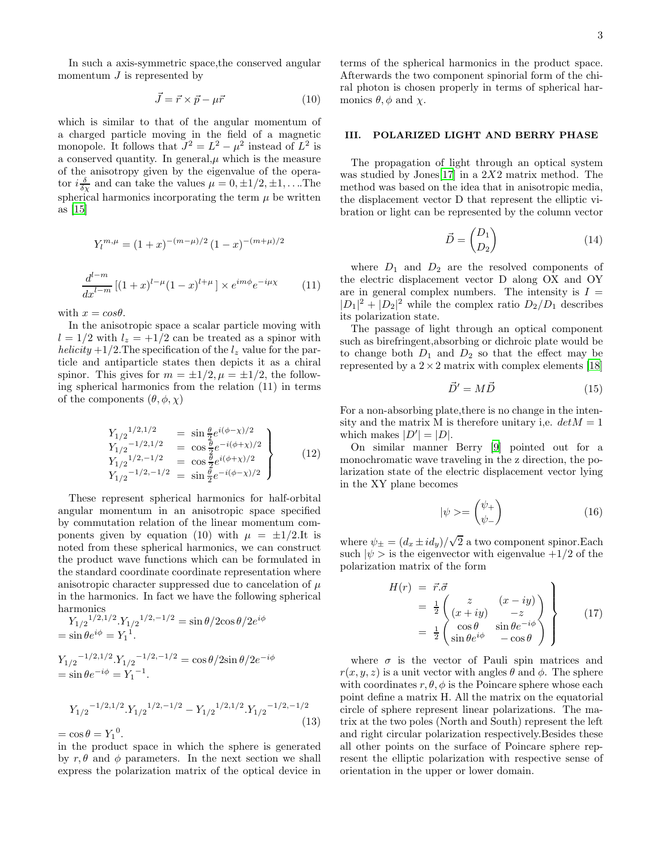In such a axis-symmetric space,the conserved angular momentum  $J$  is represented by

$$
\vec{J} = \vec{r} \times \vec{p} - \mu \vec{r} \tag{10}
$$

which is similar to that of the angular momentum of a charged particle moving in the field of a magnetic monopole. It follows that  $J^2 = L^2 - \mu^2$  instead of  $L^2$  is a conserved quantity. In general, $\mu$  which is the measure of the anisotropy given by the eigenvalue of the operator  $i\frac{\delta}{\delta \chi}$  and can take the values  $\mu = 0, \pm 1/2, \pm 1, \dots$  The spherical harmonics incorporating the term  $\mu$  be written as [\[15\]](#page-5-14)

$$
Y_l^{m,\mu} = (1+x)^{-(m-\mu)/2} (1-x)^{-(m+\mu)/2}
$$

$$
\frac{d^{l-m}}{dx^{l-m}} [(1+x)^{l-\mu} (1-x)^{l+\mu}] \times e^{im\phi} e^{-i\mu \chi}
$$
(11)

with  $x = cos \theta$ .

In the anisotropic space a scalar particle moving with  $l = 1/2$  with  $l_z = +1/2$  can be treated as a spinor with helicity  $+1/2$ . The specification of the  $l_z$  value for the particle and antiparticle states then depicts it as a chiral spinor. This gives for  $m = \pm 1/2$ ,  $\mu = \pm 1/2$ , the following spherical harmonics from the relation (11) in terms of the components  $(\theta, \phi, \chi)$ 

$$
Y_{1/2}^{1/2,1/2} = \sin \frac{\theta}{2} e^{i(\phi - \chi)/2}
$$
  
\n
$$
Y_{1/2}^{-1/2,1/2} = \cos \frac{\theta}{2} e^{-i(\phi + \chi)/2}
$$
  
\n
$$
Y_{1/2}^{1/2,-1/2} = \cos \frac{\theta}{2} e^{i(\phi + \chi)/2}
$$
  
\n
$$
Y_{1/2}^{-1/2,-1/2} = \sin \frac{\theta}{2} e^{-i(\phi - \chi)/2}
$$
\n(12)

These represent spherical harmonics for half-orbital angular momentum in an anisotropic space specified by commutation relation of the linear momentum components given by equation (10) with  $\mu = \pm 1/2$ . It is noted from these spherical harmonics, we can construct the product wave functions which can be formulated in the standard coordinate coordinate representation where anisotropic character suppressed due to cancelation of  $\mu$ in the harmonics. In fact we have the following spherical harmonics

$$
Y_{1/2}^{1/2,1/2} Y_{1/2}^{1/2,-1/2} = \sin \theta / 2 \cos \theta / 2 e^{i\phi}
$$
  
=  $\sin \theta e^{i\phi} = Y_1^{1}$ .  

$$
Y_{1/2}^{-1/2,1/2} Y_{1/2}^{-1/2,-1/2} = \cos \theta / 2 \sin \theta / 2 e^{-i\phi}
$$
  
=  $\sin \theta e^{-i\phi} = Y_1^{-1}$ .

$$
Y_{1/2}^{-1/2,1/2} \cdot Y_{1/2}^{-1/2,-1/2} - Y_{1/2}^{-1/2,1/2} \cdot Y_{1/2}^{-1/2,-1/2}
$$
\n(13)

 $=$  cos  $\theta = Y_1^0$ .

in the product space in which the sphere is generated by  $r, \theta$  and  $\phi$  parameters. In the next section we shall express the polarization matrix of the optical device in terms of the spherical harmonics in the product space. Afterwards the two component spinorial form of the chiral photon is chosen properly in terms of spherical harmonics  $\theta$ ,  $\phi$  and  $\chi$ .

### III. POLARIZED LIGHT AND BERRY PHASE

The propagation of light through an optical system was studied by Jones<sup>[\[17\]](#page-5-13)</sup> in a 2X2 matrix method. The method was based on the idea that in anisotropic media, the displacement vector D that represent the elliptic vibration or light can be represented by the column vector

$$
\vec{D} = \begin{pmatrix} D_1 \\ D_2 \end{pmatrix} \tag{14}
$$

where  $D_1$  and  $D_2$  are the resolved components of the electric displacement vector D along OX and OY are in general complex numbers. The intensity is  $I =$  $|D_1|^2 + |D_2|^2$  while the complex ratio  $D_2/D_1$  describes its polarization state.

The passage of light through an optical component such as birefringent,absorbing or dichroic plate would be to change both  $D_1$  and  $D_2$  so that the effect may be represented by a  $2 \times 2$  matrix with complex elements [\[18](#page-5-15)]

$$
\vec{D}' = M\vec{D} \tag{15}
$$

For a non-absorbing plate,there is no change in the intensity and the matrix M is therefore unitary i,e.  $det M = 1$ which makes  $|D'| = |D|$ .

On similar manner Berry [\[9\]](#page-5-8) pointed out for a monochromatic wave traveling in the z direction, the polarization state of the electric displacement vector lying in the XY plane becomes

$$
|\psi\rangle = \begin{pmatrix} \psi_+ \\ \psi_- \end{pmatrix} \tag{16}
$$

where  $\psi_{\pm} = (d_x \pm i d_y)/\sqrt{2}$  a two component spinor. Each such  $|\psi\rangle$  is the eigenvector with eigenvalue  $+1/2$  of the polarization matrix of the form

$$
H(r) = \vec{r}.\vec{\sigma}
$$
  
=  $\frac{1}{2}$   $\begin{pmatrix} z & (x - iy) \\ (x + iy) & -z \\ \cos \theta & \sin \theta e^{-i\phi} \end{pmatrix}$  (17)  
=  $\frac{1}{2}$   $\begin{pmatrix} \cos \theta & \sin \theta e^{-i\phi} \\ \sin \theta e^{i\phi} & -\cos \theta \end{pmatrix}$ 

where  $\sigma$  is the vector of Pauli spin matrices and  $r(x, y, z)$  is a unit vector with angles  $\theta$  and  $\phi$ . The sphere with coordinates  $r, \theta, \phi$  is the Poincare sphere whose each point define a matrix H. All the matrix on the equatorial circle of sphere represent linear polarizations. The matrix at the two poles (North and South) represent the left and right circular polarization respectively.Besides these all other points on the surface of Poincare sphere represent the elliptic polarization with respective sense of orientation in the upper or lower domain.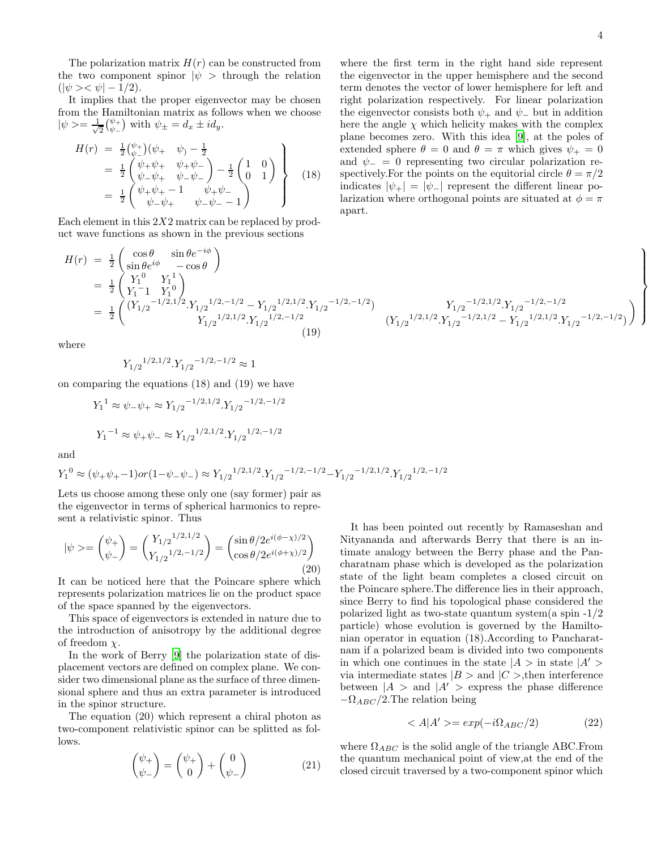The polarization matrix  $H(r)$  can be constructed from the two component spinor  $|\psi\rangle$  through the relation  $(|\psi\rangle\langle\psi| - 1/2).$ 

It implies that the proper eigenvector may be chosen from the Hamiltonian matrix as follows when we choose  $|\psi\rangle = \frac{1}{\sqrt{2}}$  $\frac{1}{2} {\psi_+ \choose \psi_-}$  with  $\psi_{\pm} = d_x \pm id_y$ .

$$
H(r) = \frac{1}{2} \begin{pmatrix} \psi_{+} \\ \psi_{-} \end{pmatrix} (\psi_{+} \quad \psi_{-} - \frac{1}{2} \n= \frac{1}{2} \begin{pmatrix} \psi_{+} \psi_{+} & \psi_{+} \psi_{-} \\ \psi_{-} \psi_{+} & \psi_{-} \psi_{-} \end{pmatrix} - \frac{1}{2} \begin{pmatrix} 1 & 0 \\ 0 & 1 \end{pmatrix} \n= \frac{1}{2} \begin{pmatrix} \psi_{+} \psi_{+} - 1 & \psi_{+} \psi_{-} \\ \psi_{+} \psi_{+} & \psi_{-} \psi_{-} - 1 \end{pmatrix}
$$
\n(18)

Each element in this  $2X2$  matrix can be replaced by product wave functions as shown in the previous sections

$$
H(r) = \frac{1}{2} \begin{pmatrix} \cos \theta & \sin \theta e^{-i\phi} \\ \sin \theta e^{i\phi} & -\cos \theta \end{pmatrix}
$$
  
\n
$$
= \frac{1}{2} \begin{pmatrix} Y_1^0 & Y_1^1 \\ Y_1^{-1} & Y_1^0 \end{pmatrix}
$$
  
\n
$$
= \frac{1}{2} \begin{pmatrix} (Y_{1/2}^{-1/2, 1/2}, Y_{1/2}^{-1/2, -1/2} - Y_{1/2}^{-1/2, 1/2}, Y_{1/2}^{-1/2, -1/2}) & Y_{1/2}^{-1/2, 1/2}, Y_{1/2}^{-1/2, -1/2} \\ Y_{1/2}^{-1/2, 1/2}, Y_{1/2}^{-1/2, -1/2} & (Y_{1/2}^{-1/2, 1/2}, Y_{1/2}^{-1/2, 1/2} - Y_{1/2}^{-1/2, 1/2}, Y_{1/2}^{-1/2, 1/2}) \end{pmatrix}
$$

where

$$
{Y_{1/2}}^{1/2,1/2}.{Y_{1/2}}^{-1/2,-1/2}\approx 1
$$

on comparing the equations (18) and (19) we have

$$
Y_1^1 \approx \psi_- \psi_+ \approx Y_{1/2}^{-1/2,1/2} \cdot Y_{1/2}^{-1/2,-1/2}
$$
  

$$
Y_1^{-1} \approx \psi_+ \psi_- \approx Y_{1/2}^{1/2,1/2} \cdot Y_{1/2}^{1/2,-1/2}
$$

and

$$
Y_1^0 \approx (\psi_+ \psi_+ - 1) \text{ or } (1 - \psi_- \psi_-) \approx Y_{1/2}^{1/2, 1/2} \cdot Y_{1/2}^{1/2, -1/2, -1/2} - Y_{1/2}^{1/2, 1/2} \cdot Y_{1/2}^{1/2, -1/2}
$$

Lets us choose among these only one (say former) pair as the eigenvector in terms of spherical harmonics to represent a relativistic spinor. Thus

$$
|\psi\rangle = \begin{pmatrix} \psi_+ \\ \psi_- \end{pmatrix} = \begin{pmatrix} Y_{1/2}^{1/2, 1/2} \\ Y_{1/2}^{1/2, -1/2} \end{pmatrix} = \begin{pmatrix} \sin \theta/2 e^{i(\phi - \chi)/2} \\ \cos \theta/2 e^{i(\phi + \chi)/2} \end{pmatrix}
$$
(20)

It can be noticed here that the Poincare sphere which represents polarization matrices lie on the product space of the space spanned by the eigenvectors.

This space of eigenvectors is extended in nature due to the introduction of anisotropy by the additional degree of freedom  $\chi$ .

In the work of Berry [\[9](#page-5-8)] the polarization state of displacement vectors are defined on complex plane. We consider two dimensional plane as the surface of three dimensional sphere and thus an extra parameter is introduced in the spinor structure.

The equation (20) which represent a chiral photon as two-component relativistic spinor can be splitted as follows.

$$
\begin{pmatrix} \psi_+ \\ \psi_- \end{pmatrix} = \begin{pmatrix} \psi_+ \\ 0 \end{pmatrix} + \begin{pmatrix} 0 \\ \psi_- \end{pmatrix} \tag{21}
$$

It has been pointed out recently by Ramaseshan and Nityananda and afterwards Berry that there is an intimate analogy between the Berry phase and the Pancharatnam phase which is developed as the polarization state of the light beam completes a closed circuit on the Poincare sphere.The difference lies in their approach, since Berry to find his topological phase considered the polarized light as two-state quantum system(a spin -1/2 particle) whose evolution is governed by the Hamiltonian operator in equation (18).According to Pancharatnam if a polarized beam is divided into two components in which one continues in the state  $|A>$  in state  $|A'|>$ via intermediate states  $|B\rangle$  and  $|C\rangle$ , then interference between  $|A\rangle$  and  $|A'\rangle$  express the phase difference  $-\Omega_{ABC}/2$ . The relation being

$$
\langle A|A'\rangle = \exp(-i\Omega_{ABC}/2) \tag{22}
$$

where  $\Omega_{ABC}$  is the solid angle of the triangle ABC. From the quantum mechanical point of view,at the end of the closed circuit traversed by a two-component spinor which

where the first term in the right hand side represent the eigenvector in the upper hemisphere and the second term denotes the vector of lower hemisphere for left and right polarization respectively. For linear polarization the eigenvector consists both  $\psi_+$  and  $\psi_-$  but in addition here the angle  $\chi$  which helicity makes with the complex plane becomes zero. With this idea [\[9\]](#page-5-8), at the poles of extended sphere  $\theta = 0$  and  $\theta = \pi$  which gives  $\psi_+ = 0$ and  $\psi = 0$  representing two circular polarization respectively. For the points on the equitorial circle  $\theta = \pi/2$ indicates  $|\psi_+| = |\psi_-|$  represent the different linear polarization where orthogonal points are situated at  $\phi = \pi$ apart.

 $(Y_{1/2}^{1/2,1/2}.Y_{1/2}^{-1/2,1/2} - Y_{1/2}^{1/2,1/2}.Y_{1/2}^{-1/2,-1/2})$ 

 $\setminus$ 

 $\mathcal{L}$  $\overline{\mathcal{L}}$ 

 $\int$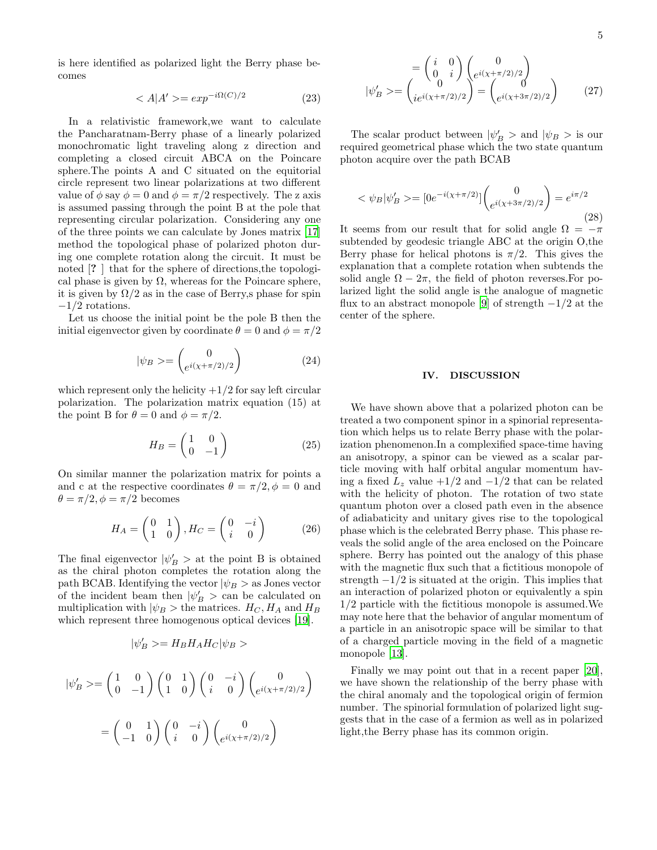is here identified as polarized light the Berry phase becomes

$$
\langle A|A'\rangle = \exp^{-i\Omega(C)/2} \tag{23}
$$

In a relativistic framework,we want to calculate the Pancharatnam-Berry phase of a linearly polarized monochromatic light traveling along z direction and completing a closed circuit ABCA on the Poincare sphere.The points A and C situated on the equitorial circle represent two linear polarizations at two different value of  $\phi$  say  $\phi = 0$  and  $\phi = \pi/2$  respectively. The z axis is assumed passing through the point B at the pole that representing circular polarization. Considering any one of the three points we can calculate by Jones matrix [\[17](#page-5-13)] method the topological phase of polarized photon during one complete rotation along the circuit. It must be noted [? ] that for the sphere of directions, the topological phase is given by  $\Omega$ , whereas for the Poincare sphere, it is given by  $\Omega/2$  as in the case of Berry, s phase for spin −1/2 rotations.

Let us choose the initial point be the pole B then the initial eigenvector given by coordinate  $\theta = 0$  and  $\phi = \pi/2$ 

$$
|\psi_B\rangle = \begin{pmatrix} 0\\ e^{i(\chi + \pi/2)/2} \end{pmatrix} \tag{24}
$$

which represent only the helicity  $+1/2$  for say left circular polarization. The polarization matrix equation (15) at the point B for  $\theta = 0$  and  $\phi = \pi/2$ .

$$
H_B = \begin{pmatrix} 1 & 0 \\ 0 & -1 \end{pmatrix} \tag{25}
$$

On similar manner the polarization matrix for points a and c at the respective coordinates  $\theta = \pi/2, \phi = 0$  and  $\theta = \pi/2, \phi = \pi/2$  becomes

$$
H_A = \begin{pmatrix} 0 & 1 \\ 1 & 0 \end{pmatrix}, H_C = \begin{pmatrix} 0 & -i \\ i & 0 \end{pmatrix} \tag{26}
$$

The final eigenvector  $|\psi'_B\rangle$  at the point B is obtained as the chiral photon completes the rotation along the path BCAB. Identifying the vector  $|\psi_B>$  as Jones vector of the incident beam then  $|\psi'_B\rangle$  can be calculated on multiplication with  $|\psi_B\rangle$  the matrices.  $H_C$ ,  $H_A$  and  $H_B$ which represent three homogenous optical devices [\[19](#page-5-16)].

$$
|\psi'_B\rangle = H_B H_A H_C |\psi_B\rangle
$$

$$
|\psi'_B\rangle = \begin{pmatrix} 1 & 0 \\ 0 & -1 \end{pmatrix} \begin{pmatrix} 0 & 1 \\ 1 & 0 \end{pmatrix} \begin{pmatrix} 0 & -i \\ i & 0 \end{pmatrix} \begin{pmatrix} 0 \\ e^{i(\chi + \pi/2)/2} \end{pmatrix}
$$

$$
= \begin{pmatrix} 0 & 1 \\ -1 & 0 \end{pmatrix} \begin{pmatrix} 0 & -i \\ i & 0 \end{pmatrix} \begin{pmatrix} 0 \\ e^{i(\chi + \pi/2)/2} \end{pmatrix}
$$

$$
\psi'_{B} = \begin{pmatrix} i & 0 \\ 0 & i \end{pmatrix} \begin{pmatrix} 0 \\ e^{i(\chi + \pi/2)/2} \end{pmatrix}
$$

$$
\psi'_{B} = \begin{pmatrix} 0 & 0 \\ ie^{i(\chi + \pi/2)/2} \end{pmatrix} = \begin{pmatrix} 0 \\ e^{i(\chi + 3\pi/2)/2} \end{pmatrix}
$$
(27)

The scalar product between  $|\psi'_B\rangle$  and  $|\psi_B\rangle$  is our required geometrical phase which the two state quantum photon acquire over the path BCAB

 $\parallel$ 

$$
<\psi_B|\psi'_B> = [0e^{-i(\chi + \pi/2)}] \begin{pmatrix} 0\\ e^{i(\chi + 3\pi/2)/2} \end{pmatrix} = e^{i\pi/2}
$$
 (28)

It seems from our result that for solid angle  $\Omega = -\pi$ subtended by geodesic triangle ABC at the origin O,the Berry phase for helical photons is  $\pi/2$ . This gives the explanation that a complete rotation when subtends the solid angle  $\Omega - 2\pi$ , the field of photon reverses. For polarized light the solid angle is the analogue of magnetic flux to an abstract monopole [\[9\]](#page-5-8) of strength  $-1/2$  at the center of the sphere.

#### IV. DISCUSSION

We have shown above that a polarized photon can be treated a two component spinor in a spinorial representation which helps us to relate Berry phase with the polarization phenomenon.In a complexified space-time having an anisotropy, a spinor can be viewed as a scalar particle moving with half orbital angular momentum having a fixed  $L_z$  value  $+1/2$  and  $-1/2$  that can be related with the helicity of photon. The rotation of two state quantum photon over a closed path even in the absence of adiabaticity and unitary gives rise to the topological phase which is the celebrated Berry phase. This phase reveals the solid angle of the area enclosed on the Poincare sphere. Berry has pointed out the analogy of this phase with the magnetic flux such that a fictitious monopole of strength  $-1/2$  is situated at the origin. This implies that an interaction of polarized photon or equivalently a spin 1/2 particle with the fictitious monopole is assumed.We may note here that the behavior of angular momentum of a particle in an anisotropic space will be similar to that of a charged particle moving in the field of a magnetic monopole [\[13\]](#page-5-12).

Finally we may point out that in a recent paper [\[20\]](#page-5-17), we have shown the relationship of the berry phase with the chiral anomaly and the topological origin of fermion number. The spinorial formulation of polarized light suggests that in the case of a fermion as well as in polarized light,the Berry phase has its common origin.